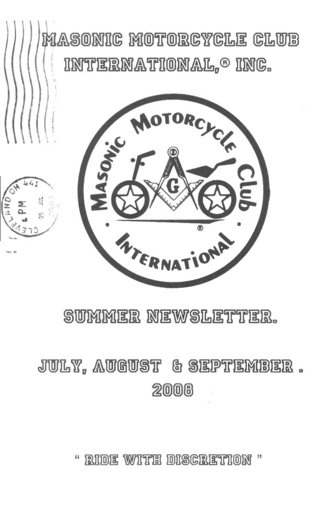

## SUMMER NEWSLETTER.

# JULY, AUGUST & SEPTEMBER. 2008

" RIDE WITH DISCRETION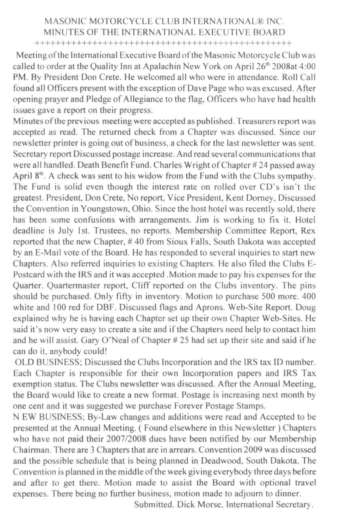#### MASONIC MOTORCYCLE CLUB INTERNATIONAL® INC MINUTES OF THE INTERNATIONAL EXECUTIVE BOARD

++1 I I I I 1'1+++++1 I I I I I I I I I I I 1+++++++++++++++++++++

Meeting of the International Executive Board of the Masonic Motorcycle Club was called to order at the Quality Inn at Apalachin New York on April 26<sup>th</sup> 2008at 4:00 PM. By President Don Crete. He welcomed all who were in attendance. Roll Call found all Officers present with the exception of Dave Page who was excused. After opening prayer and Pledge of Allegiance to the flag, Officers who have had health issues gave a report on their progress.

Minutes of the previous meeting were accepted as published. Treasurers report was accepted as read. The returned check from a Chapter was discussed. Since our newsletter printer is going out of business, a check for the last newsletter was sent. Secretary report Discussed postage increase. And read several communications that were all handled. Death Benefit Fund. Charles Wright of Chapter # 24 passed away April  $8<sup>th</sup>$ . A check was sent to his widow from the Fund with the Clubs sympathy. The Fund is solid even though the interest rate on rolled over CD's isn't the greatest. President. Don Crete, No report, Vice Presidem, Kent Dorney. Discussed the Convention in Youngstown, Ohio. Since the host hotel was recently sold. there has been some confusions with arrangements. Jim is working to fix it. Hotel deadline is July 1st. Trustees, no reports. Membership Committee Report, Rex reported that the new Chapter, # 40 from Sioux Falls, South Dakota was accepted by an E-Mail vote of the Board. He has responded to several inquiries to start new Chapters. Also referred inquiries to existing Chapters. He also filed the Clubs E-Postcard with the IRS and it was accepted .Motion made to pay his expenses for the Quarter. Quartermaster report, Cliff reported on the Clubs inventory. The pins should be purchased. Only fifty in inventory. Motion to purchase 500 more. 400 white and 100 red for DBF. Discussed flags and Aprons. Web-Site Report. Doug explained why he is having each Chapter set up their own Chapter Web-Sites. He said it's now very easy to create a site and if the Chapters need help to contact him and he will assist. Gary O'Neal of Chapter # 25 had sct up their site and said if he can do it. anybody could!

OLD BUSINESS; Discussed the Clubs Incorporation and the IRS tax ID number. Each Chapter is responsible for their own Incorporation papers and IRS Tax exemption status. The Clubs newsletter was discussed. After the Annual Meeting, the Board would like to create a new format. Postage is increasing next month by one cent and it was suggested we purchase Forever Postage Stamps.

N EW BUSrNESS; By-Law changes and additions were read and Accepted to be presented at the Annual Meeting. ( Found elsewhere in this Newsletter) Chapters who have not paid their *2007/2008* dues have been notified by our Membership Chairman. There are 3 Chapters that are in arrears. Convention 2009 was discussed and the possible schedule that is being planned in Deadwood, South Dakota. The Convention is planned in the middle of the week giving everybody three days before and after to get there. Motion made to assist the Board with optional travel expenses. There being no further business, motion made to adjourn to dinner.

Submitted. Dick Morse, International Secretary.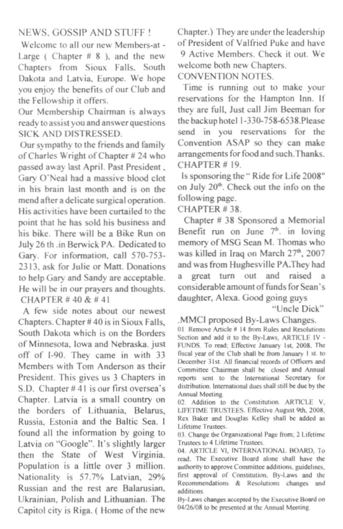#### **NEWS. GOSSIP AND STUFF!**

Welcome to all our new Members-at -Large (Chapter  $# 8$ ), and the new Chapters from Sioux Falls, South Dakota and Latvia, Europe. We hope vou enjoy the benefits of our Club and the Fellowship it offers.

Our Membership Chairman is always ready to assist you and answer questions SICK AND DISTRESSED.

Our sympathy to the friends and family of Charles Wright of Chapter # 24 who passed away last April. Past President, Gary O'Neal had a massive blood clot in his brain last month and is on the mend after a delicate surgical operation. His activities have been curtailed to the point that he has sold his business and his bike. There will be a Bike Run on July 26 th .in Berwick PA. Dedicated to Gary. For information, call 570-753-2313 ask for Julie or Matt. Donations to help Gary and Sandy are acceptable. He will be in our prayers and thoughts. CHAPTER #40 & #41

A few side notes about our newest Chapters. Chapter #40 is in Sioux Falls, South Dakota which is on the Borders of Minnesota, Iowa and Nebraska. just off of I-90. They came in with 33 Members with Tom Anderson as their President. This gives us 3 Chapters in S.D. Chapter #41 is our first oversea's Chapter. Latvia is a small country on the borders of Lithuania. Belarus, Russia. Estonia and the Baltic Sea. I found all the information by going to Latvia on "Google". It's slightly larger then the State of West Virginia. Population is a little over 3 million. Nationality is 57.7% Latvian, 29% Russian and the rest are Balarusian. Ukrainian, Polish and Lithuanian. The Capitol city is Riga. (Home of the new

Chapter.) They are under the leadership of President of Valfried Puke and have 9 Active Members. Check it out. We welcome both new Chapters.

CONVENTION NOTES.

Time is running out to make your reservations for the Hampton Inn. If they are full, Just call Jim Beeman for the backup hotel 1-330-758-6538. Please send in you reservations for the Convention ASAP so they can make arrangements for food and such. Thanks. CHAPTER #19.

Is sponsoring the "Ride for Life 2008" on July 20<sup>th</sup>. Check out the info on the following page.

CHAPTER #38

Chapter # 38 Sponsored a Memorial Benefit run on June  $7^{\circ}$ , in loving memory of MSG Sean M. Thomas who was killed in Iraq on March 27<sup>th</sup>, 2007 and was from Hughesville PA.They had a great turn out and raised a considerable amount of funds for Sean's daughter, Alexa. Good going guys

"Uncle Dick"

.MMCI proposed By-Laws Changes.

01. Remove Article # 14 from Rules and Resolutions Section and add it to the By-Laws. ARTICLE IV -FUNDS. To read: Effective January 1st, 2008. The fiscal year of the Club shall be from January 1 st. to December 31st. All financial records of Officers and Committee Chairman shall be closed and Annual reports sent to the International Secretary for distribution. International dues shall still be due by the Annual Meeting

02. Addition to the Constitution. ARTICLE V, LIFETIME TRUSTEES. Effective August 9th, 2008. Rex Baker and Douglas Kelley shall be added as Lifetime Trustees.

03. Change the Organizational Page from; 2 Lifetime Trustees to 4 Lifetime Trustees.

04. ARTICLE VI, INTERNATIONAL BOARD, To read. The Executive Board alone shall have the authority to approve Committee additions, guidelines, first approval of Constitution, By-Laws and the Recommendations & Resolutions changes and additions

By-Laws changes accepted by the Executive Board on 04/26/08 to be presented at the Annual Meeting.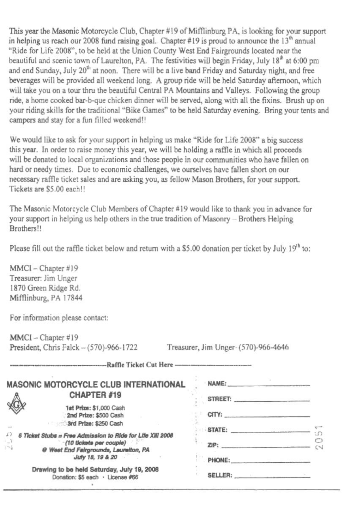This year the Masonic Motorcycle Club, Chapter #19 of Mifflinburg PA, is looking for your support in helping us reach our 2008 fund raising goal. Chapter #19 is proud to announce the  $13<sup>th</sup>$  annual "Ride for Life 2008", to be held at the Union County West End Fairgrounds located near the beautiful and scenic town of Laurelton, PA. The festivities will begin Friday, July 18<sup>th</sup> at 6:00 pm and end Sunday, July  $20<sup>th</sup>$  at noon. There will be a live band Friday and Saturday night, and free beverages will be provided all weekend long. A group ride will be held Saturday afternoon, which will take you on a tour thru the beautiful Central PA Mountains and Valleys. Following the group ride, a home cooked bar-b-que chicken dinner will be served, along with all the fixins. Brush up on your riding skills for the traditional "Bike Games" to be held Saturday evening. Bring your tents and campers and stay for a fun filled weekend!!

We would like to ask for your support in helping us make "Ride for Life 2008" a big success this year. In order to raise money this year, we will be holding a raffle in which all proceeds will be donated to local organizations and those people in our communities who have fallen on hard or needy times. Due to economic challenges. we ourselves have fallen short on our necessary raffle ticket sales and are asking you, as fellow Mason Brothers, for your support. Tickets are S5.OO each!!

The Masonic Motorcycle Club Members of Chapter #19 would like to thank you in advance for your support in helping us help others in the true tradition of Masonry  $-$  Brothers Helping Brothers<sup>11</sup>

Please fill out the raffle ticket below and return with a \$5.00 donation per ticket by July 19<sup>th</sup> to:

MMCI- Chapter #J9 Treasurer. Jim Unger 1870 Green Ridge Rd. Mifflinburg. PA 17844

For information please contact:

| MMCI-Chapter #19                        |                                      |  |  |
|-----------------------------------------|--------------------------------------|--|--|
| President, Chris Falck - (570)-966-1722 | Treasurer, Jim Unger- (570)-966-4646 |  |  |
|                                         |                                      |  |  |

| MASONIC MOTORCYCLE CLUB INTERNATIONAL                                                                                                                  | NAME:                                                                                                                 |        |
|--------------------------------------------------------------------------------------------------------------------------------------------------------|-----------------------------------------------------------------------------------------------------------------------|--------|
| <b>CHAPTER #19</b>                                                                                                                                     | STREET:                                                                                                               |        |
| 1st Prize: \$1,000 Cash<br>2nd Prize: \$500 Cash                                                                                                       | CITY:                                                                                                                 |        |
| 3rd Prize: \$250 Cash                                                                                                                                  | STATE: <b>STATE:</b>                                                                                                  |        |
| 37<br>6 Ticket Stubs = Free Admission to Ride for Life XIII 2008<br>W<br>-(10 tickets per couple)<br>$\sim$ 1<br>@ West End Fairgrounds, Laurelton, PA | $\mathbb{Z} \mathsf{P}$ :                                                                                             | $\sim$ |
| July 18, 19 & 20                                                                                                                                       | PHONE:                                                                                                                |        |
| Drawing to be held Saturday, July 19, 2008<br>Donation: \$5 each · License #66                                                                         | SELLER: A CONTROLLER SERVICES AND A CONTROLLER SERVICES OF A CONTROLLER SERVICE OF A CONTROLLER STATE OF A CONTROLLER |        |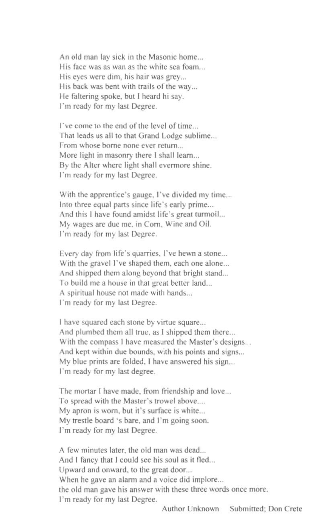An old man lay sick in the Masonic home... His face was as wan as the white sea foam... His eyes were dim, his hair was grey... His back was bent with trails of the way... He faltering spoke, but I heard hi say. I'm ready for my last Degree.

I've come to the end of the level of time... That leads us all to that Grand Lodge sublime... From whose borne none ever return... More light in masonry there I shall learn... By the Alter where light shall evennore shine. I'm ready for my last Degree.

With the apprentice's gauge. I've divided my time... Into three equal parts since life's early prime... And this I have found amidst life's great turmoil... My wages arc due me. in Com. Wine and Oil. I'm ready for my last Degree.

Every day from life's quarries, I've hewn a stone... With the gravel I've shaped them, each one alone... And shipped them along beyond that bright stand... To build me a house in that great better land... A spiritual house not made with hands. I'm ready for my last Degree.

I have squared each stone by virtue square... And plumbed them all true, as I shipped them there... With the compass I have measured the Master's designs.. And kept within due bounds, with his points and signs... My blue prints are folded, I have answered his sign... I'm ready for my last degree.

The mortar I have made, from friendship and love.. To spread with the Master's trowel above.... My apron is worn, but it's surface is white... My trestle board 's bare. and I'm going soon. I'm ready for my last Degree.

A few minutes later, the old man was dead... And I fancy that I could see his soul as it fled... Upward and onward, 10 the greal door... When he gave an alarm and a voice did implore... the old man gave his answer wilh these three words once more. I'm ready for my last Degree.

Author Unknown Submitted; Don Crete